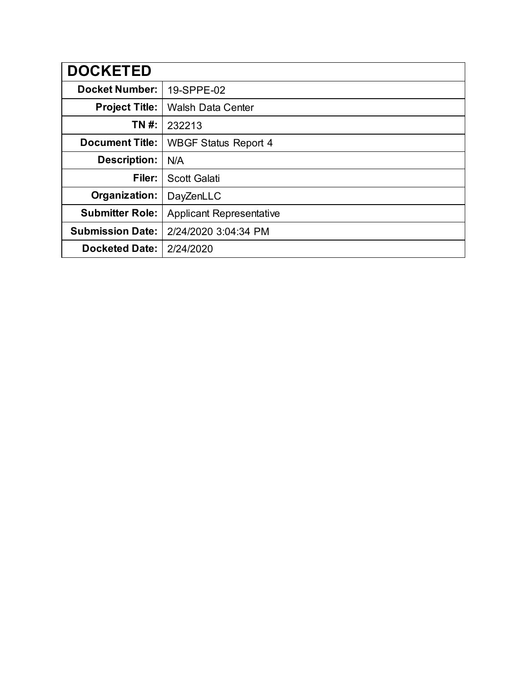| <b>DOCKETED</b>         |                                 |
|-------------------------|---------------------------------|
| <b>Docket Number:</b>   | 19-SPPE-02                      |
| <b>Project Title:</b>   | <b>Walsh Data Center</b>        |
| TN #:                   | 232213                          |
| <b>Document Title:</b>  | <b>WBGF Status Report 4</b>     |
| <b>Description:</b>     | N/A                             |
| Filer:                  | <b>Scott Galati</b>             |
| Organization:           | DayZenLLC                       |
| <b>Submitter Role:</b>  | <b>Applicant Representative</b> |
| <b>Submission Date:</b> | 2/24/2020 3:04:34 PM            |
| <b>Docketed Date:</b>   | 2/24/2020                       |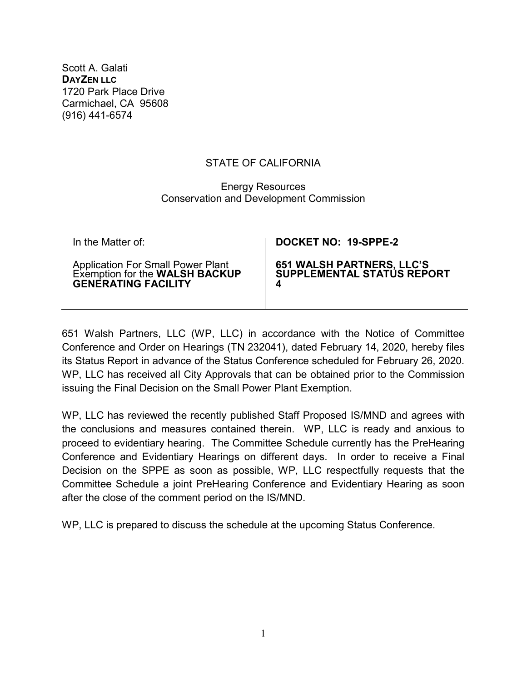Scott A. Galati **DAYZEN LLC** 1720 Park Place Drive Carmichael, CA 95608 (916) 441-6574

## STATE OF CALIFORNIA

## Energy Resources Conservation and Development Commission

| In the Matter of:                                                   | DOCKET NO: 19-SPPE-2             |
|---------------------------------------------------------------------|----------------------------------|
| Application For Small Power Plant<br>Exemption for the WALSH BACKUP | <b>651 WALSH PARTNERS, LLC'S</b> |
| <b>GENERATING FACILITY</b>                                          | SUPPLEMENTAL STATÚS REPORT       |

651 Walsh Partners, LLC (WP, LLC) in accordance with the Notice of Committee Conference and Order on Hearings (TN 232041), dated February 14, 2020, hereby files its Status Report in advance of the Status Conference scheduled for February 26, 2020. WP, LLC has received all City Approvals that can be obtained prior to the Commission issuing the Final Decision on the Small Power Plant Exemption.

WP, LLC has reviewed the recently published Staff Proposed IS/MND and agrees with the conclusions and measures contained therein. WP, LLC is ready and anxious to proceed to evidentiary hearing. The Committee Schedule currently has the PreHearing Conference and Evidentiary Hearings on different days. In order to receive a Final Decision on the SPPE as soon as possible, WP, LLC respectfully requests that the Committee Schedule a joint PreHearing Conference and Evidentiary Hearing as soon after the close of the comment period on the IS/MND.

WP, LLC is prepared to discuss the schedule at the upcoming Status Conference.